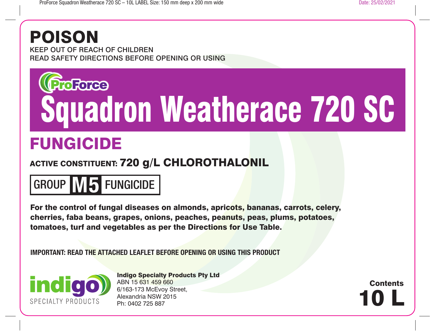## POISON

KEEP OUT OF REACH OF CHILDREN READ SAFETY DIRECTIONS BEFORE OPENING OR USING

# roForee Squadron Weatherace 720 SC

## FUNGICIDE

### ACTIVE CONSTITUENT: 720 g/L CHLOROTHALONIL

## GROUP **M5** FUNGICIDE

For the control of fungal diseases on almonds, apricots, bananas, carrots, celery, cherries, faba beans, grapes, onions, peaches, peanuts, peas, plums, potatoes, tomatoes, turf and vegetables as per the Directions for Use Table.

**IMPORTANT: READ THE ATTACHED LEAFLET BEFORE OPENING OR USING THIS PRODUCT**



Indigo Specialty Products Pty Ltd ABN 15 631 459 660 6/163-173 McEvoy Street, Alexandria NSW 2015 Ph: 0402 725 887

10 L **Contents**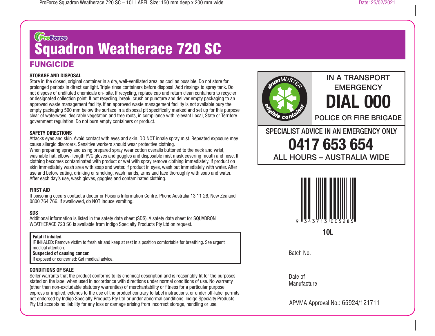## (CroForce Squadron Weatherace 720 SC

### **FUNGICIDE**

#### **STORAGE AND DISPOSAL**

Store in the closed, original container in a dry, well-ventilated area, as cool as possible. Do not store for prolonged periods in direct sunlight. Triple rinse containers before disposal. Add rinsings to spray tank. Do not dispose of undiluted chemicals on- site. If recycling, replace cap and return clean containers to recycler or designated collection point. If not recycling, break, crush or puncture and deliver empty packaging to an approved waste management facility. If an approved waste management facility is not available bury the empty packaging 500 mm below the surface in a disposal pit specifically marked and set up for this purpose clear of waterways, desirable vegetation and tree roots, in compliance with relevant Local, State or Territory government regulation. Do not burn empty containers or product.

#### **SAFETY DIRECTIONS**

Attacks eyes and skin. Avoid contact with eyes and skin. DO NOT inhale spray mist. Repeated exposure may cause allergic disorders. Sensitive workers should wear protective clothing.

When preparing spray and using prepared spray wear cotton overalls buttoned to the neck and wrist, washable hat, elbow- length PVC gloves and goggles and disposable mist mask covering mouth and nose. If clothing becomes contaminated with product or wet with spray remove clothing immediately. If product on skin immediately wash area with soap and water. If product in eyes, wash out immediately with water. After use and before eating, drinking or smoking, wash hands, arms and face thoroughly with soap and water. After each day's use, wash gloves, goggles and contaminated clothing.

#### **FIRST AID**

If poisoning occurs contact a doctor or Poisons Information Centre. Phone Australia 13 11 26, New Zealand 0800 764 766. If swallowed, do NOT induce vomiting.

#### **SDS**

Additional information is listed in the safety data sheet (SDS). A safety data sheet for SQUADRON WEATHERACE 720 SC is available from Indigo Specialty Products Pty Ltd on request.

#### **Fatal if inhaled.**

IF INHALED: Remove victim to fresh air and keep at rest in a position comfortable for breathing. See urgent medical attention.

#### **Suspected of causing cancer.**

If exposed or concerned: Get medical advice.

#### **CONDITIONS OF SALE**

Seller warrants that the product conforms to its chemical description and is reasonably fit for the purposes stated on the label when used in accordance with directions under normal conditions of use. No warranty (other than non-excludable statutory warranties) of merchantability or fitness for a particular purpose, express or implied, extends to the use of the product contrary to label instructions, or under off-label permits not endorsed by Indigo Specialty Products Pty Ltd or under abnormal conditions. Indigo Specialty Products Pty Ltd accepts no liability for any loss or damage arising from incorrect storage, handling or use.



### IN A TRANSPORT **EMERGENCY DIAL 000**

POLICE OR FIRE BRIGADE

SPECIALIST ADVICE IN AN EMERGENCY ONLY **0417 653 654** ALL HOURS – AUSTRALIA WIDE



**10L**

Batch No.

Date of **Manufacture** 

APVMA Approval No.: 65924/121711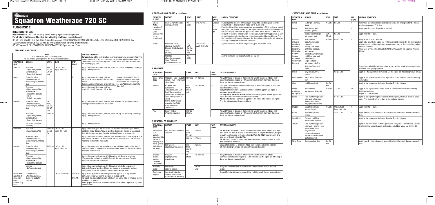## **Gro**Force Squadron Weatherace 720 SC

#### **DIRECTIONS FOR USE:**

**RESTRAINTS:** DO NOT mix spraying oils or wetting agents with this product. **For all stone fruit except Cherries, the following additional restraints apply:**

DO NOT use oils after bud-swell and during the season if SQUADRON WEATHERACE 720 SC is to be used after shuck fall. DO NOT tank mix SQUADRON WEATHERACE 720 SC with EC formulations when spraying after shuck fall.

DO NOT exceed 3.2 L of SQUADRON WEATHERACE 720 SC per hectare of crop.

#### **1. TREE AND VINE CROPS**

| <b>RATE</b><br>This table shows rates for dilute spraying.<br>For concentrate spraying refer to the Mixing/Application Section. |                                                                                                                               |                                             |                                 |                                                                                                                                                          | <b>CRITICAL COMMENTS</b><br>For uses in the table: Apply by dilute or concentrate spraying equipment. Apply the<br>same total amount of product to the target crop whether applying this product by                                                                                                                                                                           |              |
|---------------------------------------------------------------------------------------------------------------------------------|-------------------------------------------------------------------------------------------------------------------------------|---------------------------------------------|---------------------------------|----------------------------------------------------------------------------------------------------------------------------------------------------------|-------------------------------------------------------------------------------------------------------------------------------------------------------------------------------------------------------------------------------------------------------------------------------------------------------------------------------------------------------------------------------|--------------|
| <b>SITUATION &amp;</b><br><b>CROP</b>                                                                                           | <b>DISEASE</b>                                                                                                                | <b>STATE</b>                                | <b>RATE</b>                     | <b>WHP</b><br>(days)                                                                                                                                     | dilute or concentrate spraying methods. DO NOT use at rates greater than 5 times<br>the dilute spraying rate.                                                                                                                                                                                                                                                                 |              |
| Almonds                                                                                                                         | Shot-hole<br>(Stigmina carpophila),<br><b>Stone Fruit Rust</b><br>(Tranzschelia discolor)                                     | NSW,<br>Vic, Tas,<br>SA, WA<br>only         | 160 mL/100 L<br>Apply 2000 L/ha | $\overline{a}$                                                                                                                                           | Apply at bud-swell, bud-burst, pink bud, shuck fall, cap fall. Apply every 10-14 days.<br>Apply 1 week pre-harvest.                                                                                                                                                                                                                                                           |              |
| Apricots                                                                                                                        | Brown Rot - Fruit<br>(Monilinia fructicola).<br>Blossom Blight (Monilinia<br>laxa)                                            |                                             | $\overline{7}$                  | Apply at bud-swell, bud-burst, pink bud,<br>full bloom. Apply no later than 35 days pre-<br>harvest.<br>See also Additional Restraints for stone fruits. | Spray applications later than 35<br>days prior to harvest may result in<br>unacceptable fruit skin damage.<br>See also Additional Restraints for                                                                                                                                                                                                                              |              |
|                                                                                                                                 | Shot-hole<br>(Stigmina carpophila),<br><b>Stone Fruit Rust</b><br>(Tranzschelia discolor)<br>Freckle<br>(Venturia carpophila) |                                             |                                 |                                                                                                                                                          | Apply at bud-swell, bud-burst, pink bud,<br>shuck fall, cap fall, then every 10-14 days.                                                                                                                                                                                                                                                                                      | stone fruit. |
| <b>Cherries</b>                                                                                                                 | Brown Rot - Fruit<br>(Monilinia fructicola).<br>Blossom Blight (Monilinia<br>laxa)                                            | Qld.<br>NSW.<br>Vic. Tas.<br>SA. WA<br>only |                                 |                                                                                                                                                          | Apply at bud-swell, bud burst, pink bud, early blossom, and full bloom. Apply 3<br>weeks pre-harvest and 1 week pre-harvest.                                                                                                                                                                                                                                                  |              |
|                                                                                                                                 | Shot-hole<br>(Stigmina carpophila),<br><b>Stone Fruit Rust</b><br>(Tranzschelia discolor)                                     | <b>All States</b>                           |                                 |                                                                                                                                                          | Apply at bud-swell, bud burst, pink bud, shuck fall, cap fall, then every 10-14 days.<br>Apply 1 week pre-harvest.                                                                                                                                                                                                                                                            |              |
|                                                                                                                                 | Transit Rot (Rhizopus<br>stolonifer                                                                                           |                                             |                                 |                                                                                                                                                          | Apply 1 week pre-harvest.                                                                                                                                                                                                                                                                                                                                                     |              |
| <b>Nectarines</b>                                                                                                               | Shot-hole<br>(Stigmina carpophila)                                                                                            | All States<br>except<br>Qld                 | 160 mL/100 L<br>Apply 2000 L/ha | $\overline{7}$                                                                                                                                           | Apply at bud-swell, pink bud, shuck fall and then repeat each 14 days if weather<br>conditions favour disease. Apply no later than 35 days pre-harvest as unacceptable<br>fruit skin damage may occur. See also Additional Restraints for stone fruits.                                                                                                                       |              |
|                                                                                                                                 | Brown Rot - Fruit<br>(Monilinia fructicola),<br>Blossom Blight (Monilinia<br>laxa)                                            |                                             |                                 |                                                                                                                                                          | Apply at bud-swell, bud burst, pink bud, early blossom and full bloom. Apply no later<br>than 35 days pre-harvest as unacceptable fruit skin damage may occur. See also<br>Additional Restraints for stone fruits.                                                                                                                                                            |              |
| Peaches                                                                                                                         | Brown Rot - Fruit<br>(Monilinia fructicola),<br>Blossom Blight (Monilinia<br>laxa)                                            | <b>All States</b>                           | 160 mL/100 L<br>Apply 2000 L/ha |                                                                                                                                                          | Apply at bud-swell, pink bud, early blossom and full bloom. Apply no later than 35<br>days pre-harvest as unacceptable fruit skin damage may occur. See also Additional<br>Restraints for stone fruits.                                                                                                                                                                       |              |
|                                                                                                                                 | Shot-hole<br>(Stigmina carpophila),<br><b>Stone Fruit Rust</b><br>(Tranzschelia discolor)                                     |                                             |                                 |                                                                                                                                                          | Apply at bud-swell and continue at 7-14 day intervals. Apply no later than<br>35 days pre-harvest as unacceptable fruit skin damage may occur. See also<br>Additional Restraints for stone fruits.                                                                                                                                                                            |              |
|                                                                                                                                 | Leaf Curl<br>(Taphrina deformans)                                                                                             |                                             |                                 |                                                                                                                                                          | Apply at bud-swell and continue at 7-14 day intervals. In Qld spray only at<br>bud-swell. Apply no later than 35 days pre-harvest as unacceptable fruit skin<br>damage may occur. See also Additional Restraints for stone fruits.                                                                                                                                            |              |
| Grapes Note:<br>russeting of<br>some table<br>grape<br>varieties may<br>occur                                                   | Downy Mildew<br>(Plasmopara vricoLA),<br>Bunch Rot (Botrytis<br>cinerea)                                                      |                                             | 160-210 mL/100 L                | Dessert 7<br>Wine 14                                                                                                                                     | Spray at first appearance of the foliage disease. Apply at 7-14 day intervals<br>particularly during wet weather and periods of rapid growth.<br>For Bunch Rot, applications at early full bloom, two weeks later, at veraisson and two<br>weeks prior to harvest.<br>Table grapes: russeting of some varieties may occur. DO NOT apply after cap fall on<br>these varieties. |              |

| 1. TREE AND VINE CROPS - continued                                                              |                                                                                                |                                             |                                 |                       |                                                                                                                                                                                                                                                                                                                                                                                                                                                                                                                                                                                                                                                                                                                                                                  |  |
|-------------------------------------------------------------------------------------------------|------------------------------------------------------------------------------------------------|---------------------------------------------|---------------------------------|-----------------------|------------------------------------------------------------------------------------------------------------------------------------------------------------------------------------------------------------------------------------------------------------------------------------------------------------------------------------------------------------------------------------------------------------------------------------------------------------------------------------------------------------------------------------------------------------------------------------------------------------------------------------------------------------------------------------------------------------------------------------------------------------------|--|
| <b>SITUATION</b><br>& CROP                                                                      | <b>DISEASE</b>                                                                                 | <b>STATE</b>                                | <b>RATE</b>                     | <b>WHP</b><br>(days)  | <b>CRITICAL COMMENTS</b>                                                                                                                                                                                                                                                                                                                                                                                                                                                                                                                                                                                                                                                                                                                                         |  |
| Grapes<br>Note:<br>russeting of<br>some table<br>grape<br>varieties may<br>OCCUL<br>- continued | <b>Black Spot (Anthracnose)</b><br>(Elsinoe ampelina)                                          | All<br><b>States</b>                        | 210 mL/100 L                    | Dessert<br>Wine<br>14 | If Black Spot has occurred in the vineyard in any of the last three years, apply at<br>budburst and 14 days later when shoots are 10-15 cm long.<br>If wet/humid conditions persist spray again when shoots are 20-30 cm long to protect<br>new growth. Some initial minimal leaf damage on the new shoots of sensitive varieties<br>can occur if spray treatments are applied at budburst and in the first 14 days after<br>budburst. In vineyards with no history of Black Spot, make the first application as soon<br>as conditions favour the development of the disease on the foliage and then at 7-14<br>day intervals if wet/humid conditions persist. Applications up to cap-fall will not cause<br>russeting in table grape and dried fruit varieties. |  |
| Plums                                                                                           | Brown Rot - Fruit<br>(Monilinia fructicola),<br>Blossom Blight (Monilinia<br>laxa)<br>(NOT WA) | Qld.<br>NSW,<br>Vic, Tas,<br>SA, WA<br>only | 160 mL/100 L<br>Apply 2000 L/ha |                       | Apply at bud-swell, bud-burst, early blossom, pink bud and full bloom.                                                                                                                                                                                                                                                                                                                                                                                                                                                                                                                                                                                                                                                                                           |  |
|                                                                                                 | Shot-hole<br>(Stigmina carpophila),<br><b>Stone Fruit Rust</b><br>(Tranzschelia discolon)      | All<br><b>States</b>                        |                                 |                       | Apply at bud-swell, bud burst, shuck fall and cap fall.                                                                                                                                                                                                                                                                                                                                                                                                                                                                                                                                                                                                                                                                                                          |  |

#### **2. LEGUMES**

| <b>SITUATION &amp;</b><br><b>CROP</b> | <b>DISEASE</b>                                                                                                                                                                                                                                        | <b>STATE</b>                   | <b>RATE</b>      | <b>WHP</b><br>(days) | <b>CRITICAL COMMENTS</b>                                                                                                                                                                                                                                                                                                                                                                                                                                                                                            |  |
|---------------------------------------|-------------------------------------------------------------------------------------------------------------------------------------------------------------------------------------------------------------------------------------------------------|--------------------------------|------------------|----------------------|---------------------------------------------------------------------------------------------------------------------------------------------------------------------------------------------------------------------------------------------------------------------------------------------------------------------------------------------------------------------------------------------------------------------------------------------------------------------------------------------------------------------|--|
| Beans - Broad<br>(Faba)               | Chocolate Spot (Botrytis   All States<br>(Uromyces<br>fabae), Rust<br>viciae fabae)                                                                                                                                                                   |                                | $1.4 - 2.3$ L/ha |                      | Apply at first sign of disease on the leaves or if weather conditions indicate likely<br>incidence of disease. Repeat at 7-14 day intervals. Use the higher rate if the crop is<br>dense and disease pressure is high.                                                                                                                                                                                                                                                                                              |  |
| Peanuts                               | Early Leaf Spot<br>(Cercospora<br>arachidicola). Late Leaf<br>Spot (Cercosporidium<br><i>personatum</i> ), Peppery Leaf<br>Spot (Leptosphaerulina<br>trifoli).<br>Peanut Rust (Puccinia<br>arachidis), Net Blotch<br>(Didymosphaeria<br>arachidicola) | Qld.<br>NSW,<br>WA. NT<br>only | $1.1 - 1.8$ L/ha | -                    | Use higher rate when conditions favour leaf spot or when rust appears. DO NOT feed<br>peanut vines to livestock.<br>NSW, WA only: Commence application when disease first appears and repeat as<br>necessary to maintain control.<br><b>Qld only: North and South Burnett – Commence spraying when disease appears and</b><br>repeat when rain and warm moist nights are expected.<br>Atherton Tablelands - Commence application 4-6 weeks after planting and repeat<br>7-14 day intervals depending on conditions. |  |
| Peas                                  | Downy Mildew<br>(Peronospora viciae)                                                                                                                                                                                                                  | Qld, Tas,<br>WA only           |                  | 7                    | Apply at first sign of disease on the leaves or if weather conditions indicate likely<br>incidence of disease. Repeat at 7-14 day intervals. Use the higher rate if the crop is<br>dense and disease pressure is high.                                                                                                                                                                                                                                                                                              |  |

#### **3. VEGETABLES AND FRUIT**

| <b>SITUATION &amp;</b><br><b>CROP</b>                                                                                                  | <b>DISEASE</b>                                                             | <b>STATE</b>                   | <b>RATE</b>         | <b>WHP</b><br>(days) | <b>CRITICAL COMMENTS</b>                                                                                                                                                                                                                                                                                                                                                                                                 |
|----------------------------------------------------------------------------------------------------------------------------------------|----------------------------------------------------------------------------|--------------------------------|---------------------|----------------------|--------------------------------------------------------------------------------------------------------------------------------------------------------------------------------------------------------------------------------------------------------------------------------------------------------------------------------------------------------------------------------------------------------------------------|
| Bananas DO<br><b>NOT</b><br>apply to<br>bananas within<br>14 days of<br>applying an oil<br>based spray or<br>crop damage<br>will occur | Leaf Spot (Mycosphaerella<br>musicola)                                     | Qld.<br>NSW,<br>NT only        | $1.8$ L/ha          |                      | For North Qld: Spray every 14 days late January to end of March. Extend to 21 days<br>after March and then 28-35 days in the drier months of the year. For South Old: Spray<br>every 21 days from start of December to end of April. For NSW: Spray every 21 days<br>from end of November to end of May.<br>For WA: Spray every 10-14 days from November to end of May and extend to 14-21<br>days from May to November. |
|                                                                                                                                        |                                                                            | WA only                        | 1.5 L/ha            |                      |                                                                                                                                                                                                                                                                                                                                                                                                                          |
|                                                                                                                                        | Leaf Speckle<br>(Mycosphaerella musae)                                     | Qld.<br>NSW.<br>WA, NT<br>only | $3.0$ L/ha          |                      | Spray schedule same as for control of Leaf Spot. This product will not eradicate<br>infection already present but will prevent the spread of disease.                                                                                                                                                                                                                                                                    |
| Broccoli,<br><b>Brussel</b><br>sprouts,<br>Cabbages,<br>Cauliflowers                                                                   | <b>Ring Spot</b><br>(Mycosphaerella<br><i>brassicicola</i>                 | All<br><b>States</b>           | $1.8 - 3.5$ L/ha    | $\overline{7}$       | Apply at first sign of disease on the leaves or if weather conditions indicate<br>likely incidence of disease. Repeat at 14 day intervals. Use the higher rate if the crop is<br>dense and disease pressure is high.                                                                                                                                                                                                     |
| Artichoke<br>Globe                                                                                                                     | <b>Grey Mould</b><br>(Botrytis cinerea)                                    |                                | $1.8 - 2.3$<br>L/ha |                      | Apply at 7-10 day intervals as required. Use the higher rate if disease pressure<br>is high.                                                                                                                                                                                                                                                                                                                             |
| Capsicums<br>Peppers                                                                                                                   | Grey Mould (Botrytis<br>cinerea), Anthracnose<br>(Colletotrichum acutatum) |                                |                     |                      | Apply at 7-10 day intervals as required. Use the higher rate if disease pressure is high.                                                                                                                                                                                                                                                                                                                                |

 $\sim$  . . . . . .

#### **3. VEGETABLES AND FRUIT –** *continued*

| <b>CROP</b>                                                                                                                                     |                                                                                                                                                                                                                                                | <b>STATE</b>      | <b>RATE</b>                     | <b>WHP</b><br>(days)     | <b>CRITICAL COMMENTS</b>                                                                                                                                                                                                                                                                                                          |
|-------------------------------------------------------------------------------------------------------------------------------------------------|------------------------------------------------------------------------------------------------------------------------------------------------------------------------------------------------------------------------------------------------|-------------------|---------------------------------|--------------------------|-----------------------------------------------------------------------------------------------------------------------------------------------------------------------------------------------------------------------------------------------------------------------------------------------------------------------------------|
| Carrots                                                                                                                                         | Leaf Blight (Alternaria<br>dauci)                                                                                                                                                                                                              | All States        | $1.8$ L/ha                      | $\overline{7}$           | Commence application as soon as symptoms favour the development of the disease<br>and then spray every 7-14 days.                                                                                                                                                                                                                 |
| Celery                                                                                                                                          | Septoria Leaf Spot<br>(Septoria apiicola)                                                                                                                                                                                                      |                   |                                 | $\mathbf{1}$             | Apply every 7-14 days. Apply also to seedbeds.                                                                                                                                                                                                                                                                                    |
|                                                                                                                                                 | Cercospora Early Blight<br>(Cercospora apii)                                                                                                                                                                                                   | NSW.<br>WA only   | 1.2 L/ha                        |                          | Apply every 10-14 days.                                                                                                                                                                                                                                                                                                           |
| Cucurbits<br>(including<br>Cantaloupe,<br>Cucumber,<br>Honeydew,<br>Muskmelon,<br>Pumpkin,<br>Squash,<br>Rockmelon,<br>Watermelon,<br>Zucchini) | Downy Mildew<br>(Pseudoperonospora<br>cubensis).<br>Gummy Stem Blight<br>(Didymella bryoniae),<br>Anthracnose<br>(Colletotrichum orbiculare),<br>Leaf Blight (Alternaria<br>cucumerina),<br><b>Target Leaf Spot</b><br>(Cercospora citrullina) | <b>All States</b> | 1.6-2.5 L/ha                    | $\mathbf{1}$             | Apply on a 7 to 14 day schedule.<br>Apply rates towards the higher end of the recommended range at 7 day intervals when<br>disease pressure is high. Commence spray program early, at first true leaf and before<br>vining or flowering.<br>When used at these rates, SQUADRON WEATHERACE 720 SC will suppress Powdery<br>Mildew. |
|                                                                                                                                                 | Belly Rot (Rhizoctonia<br>solani)                                                                                                                                                                                                              |                   |                                 |                          | Suppression of Belly Rot will be obtained where fruit form on soil when sprayed using<br>the above foliar spray programme.                                                                                                                                                                                                        |
| Endive                                                                                                                                          | Grey mould (Botrytis<br>cinerea)                                                                                                                                                                                                               |                   | 1.8-2.3 L/ha                    |                          | Apply at 7-10 day intervals as required. Use the higher rate if disease pressure is high.                                                                                                                                                                                                                                         |
| <b>Leeks Shallots</b>                                                                                                                           | Purple Blotch (Alternaria<br>porri)                                                                                                                                                                                                            |                   |                                 |                          | Apply at first appearance of disease. Repeat at 7-10 day intervals, particularly during<br>wet weather.                                                                                                                                                                                                                           |
| <b>Okra</b>                                                                                                                                     | Leaf Disease/Spot                                                                                                                                                                                                                              | Qld, WA<br>only   |                                 |                          | Apply at first appearance of disease. Repeat at 7-10 day intervals.                                                                                                                                                                                                                                                               |
| Onions<br>(excluding<br>spring onions)                                                                                                          | Downy Mildew<br>(Peronospora destructor)                                                                                                                                                                                                       | All States        | 2.3 L/ha                        | 14                       | Apply at first sign of disease on the leaves or if weather conditions indicate likely<br>incidence of disease.<br>Repeat at 14 day intervals.                                                                                                                                                                                     |
| Potato                                                                                                                                          | <b>Early Blight or Target Spot</b><br>(Alternaria solani), Late<br><b>Blight or Irish Blight</b><br>(Phytophthora infestans)                                                                                                                   |                   | $1.1 - 1.8$ L/ha                | $\overline{\phantom{0}}$ | Spray at first sign of foliage disease or at flowering time, whichever is earlier. Spray<br>every 7-14 days until within 14 days of desiccation or harvest.                                                                                                                                                                       |
| Rhubarb                                                                                                                                         | Ascochyta Leaf Spot<br>(Ascochyta rhei)                                                                                                                                                                                                        | <b>All States</b> | 140 mL/100 L<br>Apply 2000 L/ha | $\overline{7}$           | Apply every 10-14 days.                                                                                                                                                                                                                                                                                                           |
| Radish                                                                                                                                          | Grey Mould (Botrytis<br>cinerea)                                                                                                                                                                                                               |                   | 1.8-2.3 L/ha                    | $\mathbf{1}$             | Apply every 7-10 day intervals as required. Use the higher rate if disease pressure is<br>high.                                                                                                                                                                                                                                   |
| Sweet Corn                                                                                                                                      | <b>Turcicum Leaf Blight</b><br>(Exserohilum turcicum)                                                                                                                                                                                          |                   |                                 |                          | Apply at first appearance of disease. Repeat at 7-10 day intervals.                                                                                                                                                                                                                                                               |
| Tomato                                                                                                                                          | Early Blight or Target Spot<br>(Alternaria solani), Leaf<br>Mould (Fulvia fulva),<br>Grey Leaf Spot<br>(Stemphylium solani),<br>Botrytis Rot or Grey Mould<br>(Botrytis cinerea)                                                               |                   |                                 |                          | Spray at first appearance of the foliage disease. Spray at 7-14 day intervals. Continue<br>into the picking season to obtain best results against Leaf Mould and Botrytis Rot.                                                                                                                                                    |
| <b>Water Cress</b>                                                                                                                              | Cercospora Leaf Spot                                                                                                                                                                                                                           | Qld, WA<br>only   |                                 |                          | Apply every 7-10 day intervals as required. Use the higher rate if disease pressure is<br>high.                                                                                                                                                                                                                                   |
|                                                                                                                                                 |                                                                                                                                                                                                                                                |                   |                                 |                          |                                                                                                                                                                                                                                                                                                                                   |

#### FUNGICIDE

 $\overline{\phantom{a}}$ 

 $\overline{\phantom{a}}$